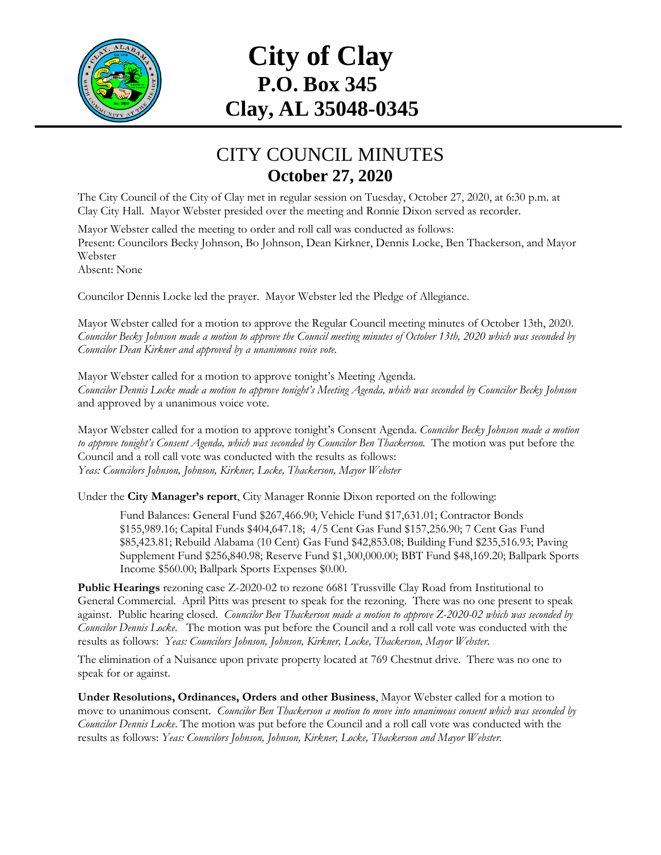

## **City of Clay P.O. Box 345 Clay, AL 35048-0345**

## CITY COUNCIL MINUTES **October 27, 2020**

The City Council of the City of Clay met in regular session on Tuesday, October 27, 2020, at 6:30 p.m. at Clay City Hall. Mayor Webster presided over the meeting and Ronnie Dixon served as recorder.

Mayor Webster called the meeting to order and roll call was conducted as follows: Present: Councilors Becky Johnson, Bo Johnson, Dean Kirkner, Dennis Locke, Ben Thackerson, and Mayor Webster

Absent: None

Councilor Dennis Locke led the prayer. Mayor Webster led the Pledge of Allegiance.

Mayor Webster called for a motion to approve the Regular Council meeting minutes of October 13th, 2020. *Councilor Becky Johnson made a motion to approve the Council meeting minutes of October 13th, 2020 which was seconded by Councilor Dean Kirkner and approved by a unanimous voice vote.* 

Mayor Webster called for a motion to approve tonight's Meeting Agenda. *Councilor Dennis Locke made a motion to approve tonight's Meeting Agenda, which was seconded by Councilor Becky Johnson* and approved by a unanimous voice vote.

Mayor Webster called for a motion to approve tonight's Consent Agenda. *Councilor Becky Johnson made a motion*  to approve tonight's Consent Agenda, which was seconded by Councilor Ben Thackerson. The motion was put before the Council and a roll call vote was conducted with the results as follows: *Yeas: Councilors Johnson, Johnson, Kirkner, Locke, Thackerson, Mayor Webster*

Under the **City Manager's report**, City Manager Ronnie Dixon reported on the following:

Fund Balances: General Fund \$267,466.90; Vehicle Fund \$17,631.01; Contractor Bonds \$155,989.16; Capital Funds \$404,647.18; 4/5 Cent Gas Fund \$157,256.90; 7 Cent Gas Fund \$85,423.81; Rebuild Alabama (10 Cent) Gas Fund \$42,853.08; Building Fund \$235,516.93; Paving Supplement Fund \$256,840.98; Reserve Fund \$1,300,000.00; BBT Fund \$48,169.20; Ballpark Sports Income \$560.00; Ballpark Sports Expenses \$0.00.

**Public Hearings** rezoning case Z-2020-02 to rezone 6681 Trussville Clay Road from Institutional to General Commercial. April Pitts was present to speak for the rezoning. There was no one present to speak against. Public hearing closed. *Councilor Ben Thackerson made a motion to approve Z-2020-02 which was seconded by Councilor Dennis Locke.* The motion was put before the Council and a roll call vote was conducted with the results as follows: *Yeas: Councilors Johnson, Johnson, Kirkner, Locke, Thackerson, Mayor Webster.*

The elimination of a Nuisance upon private property located at 769 Chestnut drive. There was no one to speak for or against.

**Under Resolutions, Ordinances, Orders and other Business**, Mayor Webster called for a motion to move to unanimous consent. *Councilor Ben Thackerson a motion to move into unanimous consent which was seconded by Councilor Dennis Locke*. The motion was put before the Council and a roll call vote was conducted with the results as follows: *Yeas: Councilors Johnson, Johnson, Kirkner, Locke, Thackerson and Mayor Webster.*